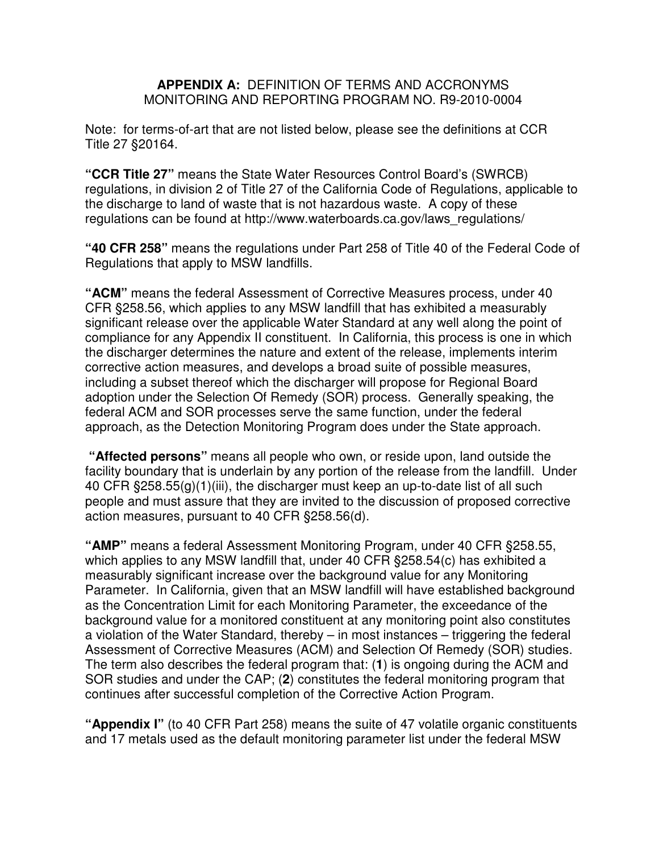## **APPENDIX A:** DEFINITION OF TERMS AND ACCRONYMS MONITORING AND REPORTING PROGRAM NO. R9-2010-0004

Note: for terms-of-art that are not listed below, please see the definitions at CCR Title 27 §20164.

**"CCR Title 27"** means the State Water Resources Control Board's (SWRCB) regulations, in division 2 of Title 27 of the California Code of Regulations, applicable to the discharge to land of waste that is not hazardous waste. A copy of these regulations can be found at http://www.waterboards.ca.gov/laws\_regulations/

**"40 CFR 258"** means the regulations under Part 258 of Title 40 of the Federal Code of Regulations that apply to MSW landfills.

**"ACM"** means the federal Assessment of Corrective Measures process, under 40 CFR §258.56, which applies to any MSW landfill that has exhibited a measurably significant release over the applicable Water Standard at any well along the point of compliance for any Appendix II constituent. In California, this process is one in which the discharger determines the nature and extent of the release, implements interim corrective action measures, and develops a broad suite of possible measures, including a subset thereof which the discharger will propose for Regional Board adoption under the Selection Of Remedy (SOR) process. Generally speaking, the federal ACM and SOR processes serve the same function, under the federal approach, as the Detection Monitoring Program does under the State approach.

 **"Affected persons"** means all people who own, or reside upon, land outside the facility boundary that is underlain by any portion of the release from the landfill. Under 40 CFR §258.55(g)(1)(iii), the discharger must keep an up-to-date list of all such people and must assure that they are invited to the discussion of proposed corrective action measures, pursuant to 40 CFR §258.56(d).

**"AMP"** means a federal Assessment Monitoring Program, under 40 CFR §258.55, which applies to any MSW landfill that, under 40 CFR §258.54(c) has exhibited a measurably significant increase over the background value for any Monitoring Parameter. In California, given that an MSW landfill will have established background as the Concentration Limit for each Monitoring Parameter, the exceedance of the background value for a monitored constituent at any monitoring point also constitutes a violation of the Water Standard, thereby – in most instances – triggering the federal Assessment of Corrective Measures (ACM) and Selection Of Remedy (SOR) studies. The term also describes the federal program that: (**1**) is ongoing during the ACM and SOR studies and under the CAP; (**2**) constitutes the federal monitoring program that continues after successful completion of the Corrective Action Program.

**"Appendix I"** (to 40 CFR Part 258) means the suite of 47 volatile organic constituents and 17 metals used as the default monitoring parameter list under the federal MSW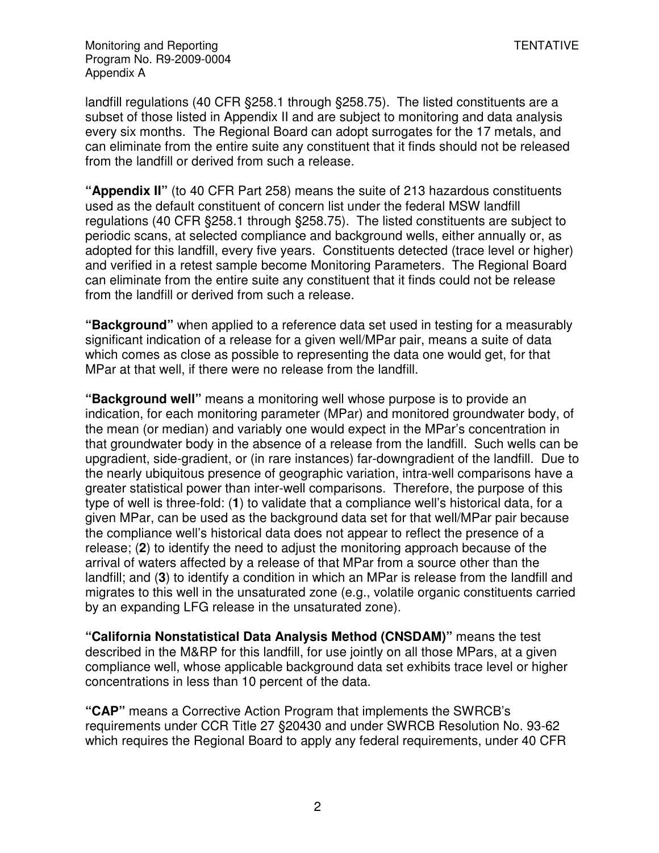landfill regulations (40 CFR §258.1 through §258.75). The listed constituents are a subset of those listed in Appendix II and are subject to monitoring and data analysis every six months. The Regional Board can adopt surrogates for the 17 metals, and can eliminate from the entire suite any constituent that it finds should not be released from the landfill or derived from such a release.

**"Appendix II"** (to 40 CFR Part 258) means the suite of 213 hazardous constituents used as the default constituent of concern list under the federal MSW landfill regulations (40 CFR §258.1 through §258.75). The listed constituents are subject to periodic scans, at selected compliance and background wells, either annually or, as adopted for this landfill, every five years. Constituents detected (trace level or higher) and verified in a retest sample become Monitoring Parameters. The Regional Board can eliminate from the entire suite any constituent that it finds could not be release from the landfill or derived from such a release.

**"Background"** when applied to a reference data set used in testing for a measurably significant indication of a release for a given well/MPar pair, means a suite of data which comes as close as possible to representing the data one would get, for that MPar at that well, if there were no release from the landfill.

**"Background well"** means a monitoring well whose purpose is to provide an indication, for each monitoring parameter (MPar) and monitored groundwater body, of the mean (or median) and variably one would expect in the MPar's concentration in that groundwater body in the absence of a release from the landfill. Such wells can be upgradient, side-gradient, or (in rare instances) far-downgradient of the landfill. Due to the nearly ubiquitous presence of geographic variation, intra-well comparisons have a greater statistical power than inter-well comparisons. Therefore, the purpose of this type of well is three-fold: (**1**) to validate that a compliance well's historical data, for a given MPar, can be used as the background data set for that well/MPar pair because the compliance well's historical data does not appear to reflect the presence of a release; (**2**) to identify the need to adjust the monitoring approach because of the arrival of waters affected by a release of that MPar from a source other than the landfill; and (**3**) to identify a condition in which an MPar is release from the landfill and migrates to this well in the unsaturated zone (e.g., volatile organic constituents carried by an expanding LFG release in the unsaturated zone).

**"California Nonstatistical Data Analysis Method (CNSDAM)"** means the test described in the M&RP for this landfill, for use jointly on all those MPars, at a given compliance well, whose applicable background data set exhibits trace level or higher concentrations in less than 10 percent of the data.

**"CAP"** means a Corrective Action Program that implements the SWRCB's requirements under CCR Title 27 §20430 and under SWRCB Resolution No. 93-62 which requires the Regional Board to apply any federal requirements, under 40 CFR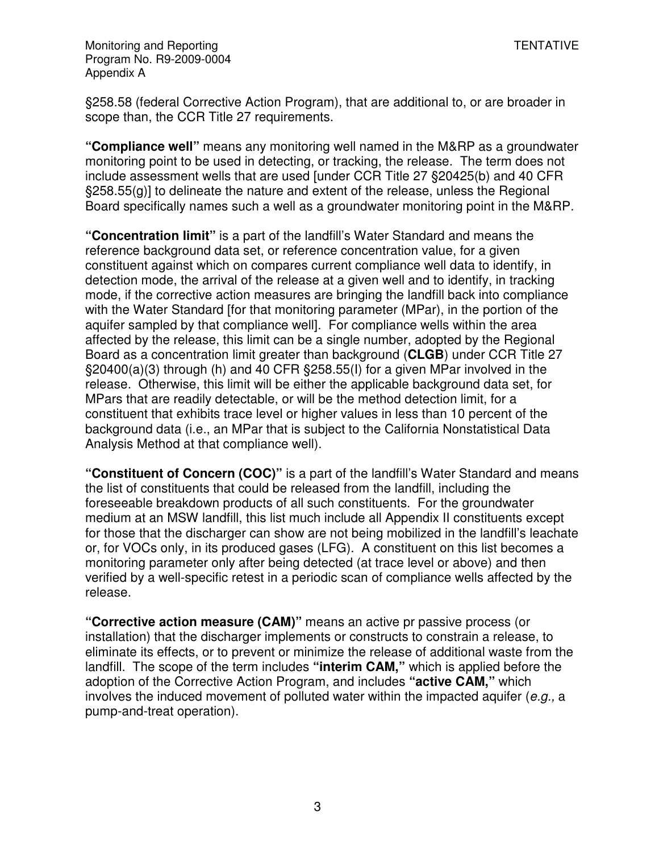§258.58 (federal Corrective Action Program), that are additional to, or are broader in scope than, the CCR Title 27 requirements.

**"Compliance well"** means any monitoring well named in the M&RP as a groundwater monitoring point to be used in detecting, or tracking, the release. The term does not include assessment wells that are used [under CCR Title 27 §20425(b) and 40 CFR §258.55(g)] to delineate the nature and extent of the release, unless the Regional Board specifically names such a well as a groundwater monitoring point in the M&RP.

**"Concentration limit"** is a part of the landfill's Water Standard and means the reference background data set, or reference concentration value, for a given constituent against which on compares current compliance well data to identify, in detection mode, the arrival of the release at a given well and to identify, in tracking mode, if the corrective action measures are bringing the landfill back into compliance with the Water Standard [for that monitoring parameter (MPar), in the portion of the aquifer sampled by that compliance well]. For compliance wells within the area affected by the release, this limit can be a single number, adopted by the Regional Board as a concentration limit greater than background (**CLGB**) under CCR Title 27 §20400(a)(3) through (h) and 40 CFR §258.55(I) for a given MPar involved in the release. Otherwise, this limit will be either the applicable background data set, for MPars that are readily detectable, or will be the method detection limit, for a constituent that exhibits trace level or higher values in less than 10 percent of the background data (i.e., an MPar that is subject to the California Nonstatistical Data Analysis Method at that compliance well).

**"Constituent of Concern (COC)"** is a part of the landfill's Water Standard and means the list of constituents that could be released from the landfill, including the foreseeable breakdown products of all such constituents. For the groundwater medium at an MSW landfill, this list much include all Appendix II constituents except for those that the discharger can show are not being mobilized in the landfill's leachate or, for VOCs only, in its produced gases (LFG). A constituent on this list becomes a monitoring parameter only after being detected (at trace level or above) and then verified by a well-specific retest in a periodic scan of compliance wells affected by the release.

**"Corrective action measure (CAM)"** means an active pr passive process (or installation) that the discharger implements or constructs to constrain a release, to eliminate its effects, or to prevent or minimize the release of additional waste from the landfill. The scope of the term includes **"interim CAM,"** which is applied before the adoption of the Corrective Action Program, and includes **"active CAM,"** which involves the induced movement of polluted water within the impacted aquifer (e.g., a pump-and-treat operation).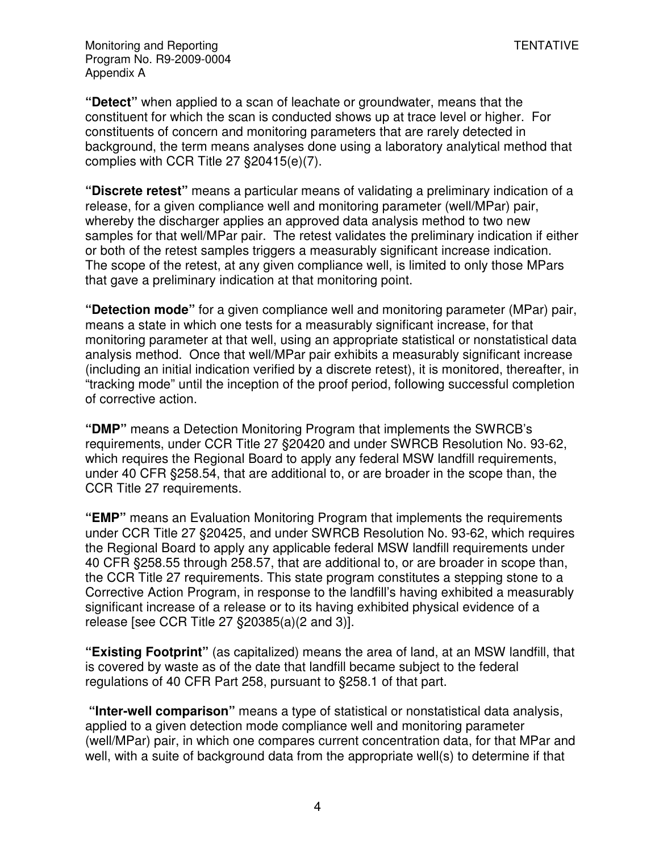**"Detect"** when applied to a scan of leachate or groundwater, means that the constituent for which the scan is conducted shows up at trace level or higher. For constituents of concern and monitoring parameters that are rarely detected in background, the term means analyses done using a laboratory analytical method that complies with CCR Title 27 §20415(e)(7).

**"Discrete retest"** means a particular means of validating a preliminary indication of a release, for a given compliance well and monitoring parameter (well/MPar) pair, whereby the discharger applies an approved data analysis method to two new samples for that well/MPar pair. The retest validates the preliminary indication if either or both of the retest samples triggers a measurably significant increase indication. The scope of the retest, at any given compliance well, is limited to only those MPars that gave a preliminary indication at that monitoring point.

**"Detection mode"** for a given compliance well and monitoring parameter (MPar) pair, means a state in which one tests for a measurably significant increase, for that monitoring parameter at that well, using an appropriate statistical or nonstatistical data analysis method. Once that well/MPar pair exhibits a measurably significant increase (including an initial indication verified by a discrete retest), it is monitored, thereafter, in "tracking mode" until the inception of the proof period, following successful completion of corrective action.

**"DMP"** means a Detection Monitoring Program that implements the SWRCB's requirements, under CCR Title 27 §20420 and under SWRCB Resolution No. 93-62, which requires the Regional Board to apply any federal MSW landfill requirements, under 40 CFR §258.54, that are additional to, or are broader in the scope than, the CCR Title 27 requirements.

**"EMP"** means an Evaluation Monitoring Program that implements the requirements under CCR Title 27 §20425, and under SWRCB Resolution No. 93-62, which requires the Regional Board to apply any applicable federal MSW landfill requirements under 40 CFR §258.55 through 258.57, that are additional to, or are broader in scope than, the CCR Title 27 requirements. This state program constitutes a stepping stone to a Corrective Action Program, in response to the landfill's having exhibited a measurably significant increase of a release or to its having exhibited physical evidence of a release [see CCR Title 27 §20385(a)(2 and 3)].

**"Existing Footprint"** (as capitalized) means the area of land, at an MSW landfill, that is covered by waste as of the date that landfill became subject to the federal regulations of 40 CFR Part 258, pursuant to §258.1 of that part.

 **"Inter-well comparison"** means a type of statistical or nonstatistical data analysis, applied to a given detection mode compliance well and monitoring parameter (well/MPar) pair, in which one compares current concentration data, for that MPar and well, with a suite of background data from the appropriate well(s) to determine if that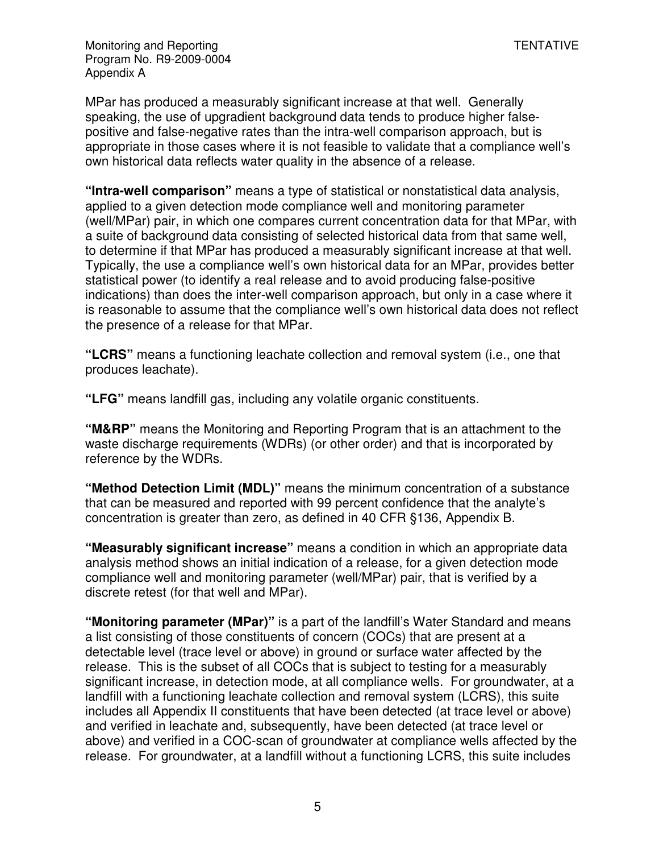MPar has produced a measurably significant increase at that well. Generally speaking, the use of upgradient background data tends to produce higher falsepositive and false-negative rates than the intra-well comparison approach, but is appropriate in those cases where it is not feasible to validate that a compliance well's own historical data reflects water quality in the absence of a release.

**"Intra-well comparison"** means a type of statistical or nonstatistical data analysis, applied to a given detection mode compliance well and monitoring parameter (well/MPar) pair, in which one compares current concentration data for that MPar, with a suite of background data consisting of selected historical data from that same well, to determine if that MPar has produced a measurably significant increase at that well. Typically, the use a compliance well's own historical data for an MPar, provides better statistical power (to identify a real release and to avoid producing false-positive indications) than does the inter-well comparison approach, but only in a case where it is reasonable to assume that the compliance well's own historical data does not reflect the presence of a release for that MPar.

**"LCRS"** means a functioning leachate collection and removal system (i.e., one that produces leachate).

**"LFG"** means landfill gas, including any volatile organic constituents.

**"M&RP"** means the Monitoring and Reporting Program that is an attachment to the waste discharge requirements (WDRs) (or other order) and that is incorporated by reference by the WDRs.

**"Method Detection Limit (MDL)"** means the minimum concentration of a substance that can be measured and reported with 99 percent confidence that the analyte's concentration is greater than zero, as defined in 40 CFR §136, Appendix B.

**"Measurably significant increase"** means a condition in which an appropriate data analysis method shows an initial indication of a release, for a given detection mode compliance well and monitoring parameter (well/MPar) pair, that is verified by a discrete retest (for that well and MPar).

**"Monitoring parameter (MPar)"** is a part of the landfill's Water Standard and means a list consisting of those constituents of concern (COCs) that are present at a detectable level (trace level or above) in ground or surface water affected by the release. This is the subset of all COCs that is subject to testing for a measurably significant increase, in detection mode, at all compliance wells. For groundwater, at a landfill with a functioning leachate collection and removal system (LCRS), this suite includes all Appendix II constituents that have been detected (at trace level or above) and verified in leachate and, subsequently, have been detected (at trace level or above) and verified in a COC-scan of groundwater at compliance wells affected by the release. For groundwater, at a landfill without a functioning LCRS, this suite includes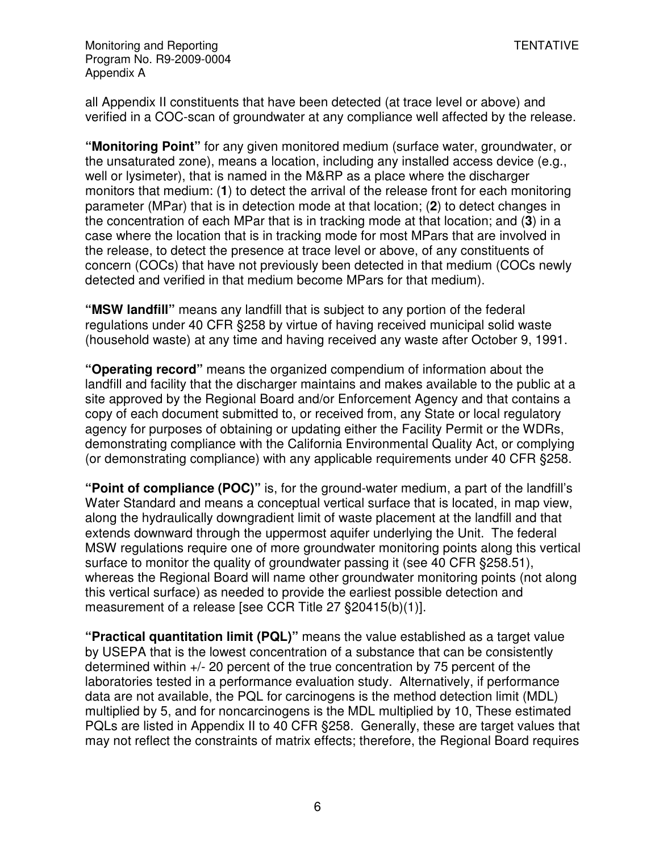all Appendix II constituents that have been detected (at trace level or above) and verified in a COC-scan of groundwater at any compliance well affected by the release.

**"Monitoring Point"** for any given monitored medium (surface water, groundwater, or the unsaturated zone), means a location, including any installed access device (e.g., well or lysimeter), that is named in the M&RP as a place where the discharger monitors that medium: (**1**) to detect the arrival of the release front for each monitoring parameter (MPar) that is in detection mode at that location; (**2**) to detect changes in the concentration of each MPar that is in tracking mode at that location; and (**3**) in a case where the location that is in tracking mode for most MPars that are involved in the release, to detect the presence at trace level or above, of any constituents of concern (COCs) that have not previously been detected in that medium (COCs newly detected and verified in that medium become MPars for that medium).

**"MSW landfill"** means any landfill that is subject to any portion of the federal regulations under 40 CFR §258 by virtue of having received municipal solid waste (household waste) at any time and having received any waste after October 9, 1991.

**"Operating record"** means the organized compendium of information about the landfill and facility that the discharger maintains and makes available to the public at a site approved by the Regional Board and/or Enforcement Agency and that contains a copy of each document submitted to, or received from, any State or local regulatory agency for purposes of obtaining or updating either the Facility Permit or the WDRs, demonstrating compliance with the California Environmental Quality Act, or complying (or demonstrating compliance) with any applicable requirements under 40 CFR §258.

**"Point of compliance (POC)"** is, for the ground-water medium, a part of the landfill's Water Standard and means a conceptual vertical surface that is located, in map view, along the hydraulically downgradient limit of waste placement at the landfill and that extends downward through the uppermost aquifer underlying the Unit. The federal MSW regulations require one of more groundwater monitoring points along this vertical surface to monitor the quality of groundwater passing it (see 40 CFR §258.51), whereas the Regional Board will name other groundwater monitoring points (not along this vertical surface) as needed to provide the earliest possible detection and measurement of a release [see CCR Title 27 §20415(b)(1)].

**"Practical quantitation limit (PQL)"** means the value established as a target value by USEPA that is the lowest concentration of a substance that can be consistently determined within +/- 20 percent of the true concentration by 75 percent of the laboratories tested in a performance evaluation study. Alternatively, if performance data are not available, the PQL for carcinogens is the method detection limit (MDL) multiplied by 5, and for noncarcinogens is the MDL multiplied by 10, These estimated PQLs are listed in Appendix II to 40 CFR §258. Generally, these are target values that may not reflect the constraints of matrix effects; therefore, the Regional Board requires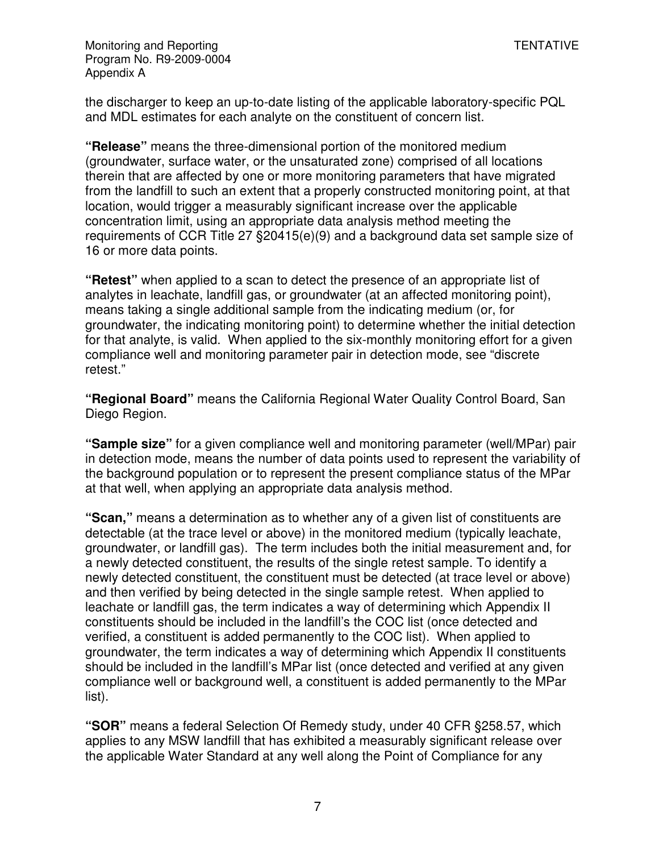the discharger to keep an up-to-date listing of the applicable laboratory-specific PQL and MDL estimates for each analyte on the constituent of concern list.

**"Release"** means the three-dimensional portion of the monitored medium (groundwater, surface water, or the unsaturated zone) comprised of all locations therein that are affected by one or more monitoring parameters that have migrated from the landfill to such an extent that a properly constructed monitoring point, at that location, would trigger a measurably significant increase over the applicable concentration limit, using an appropriate data analysis method meeting the requirements of CCR Title 27 §20415(e)(9) and a background data set sample size of 16 or more data points.

**"Retest"** when applied to a scan to detect the presence of an appropriate list of analytes in leachate, landfill gas, or groundwater (at an affected monitoring point), means taking a single additional sample from the indicating medium (or, for groundwater, the indicating monitoring point) to determine whether the initial detection for that analyte, is valid. When applied to the six-monthly monitoring effort for a given compliance well and monitoring parameter pair in detection mode, see "discrete retest."

**"Regional Board"** means the California Regional Water Quality Control Board, San Diego Region.

**"Sample size"** for a given compliance well and monitoring parameter (well/MPar) pair in detection mode, means the number of data points used to represent the variability of the background population or to represent the present compliance status of the MPar at that well, when applying an appropriate data analysis method.

**"Scan,"** means a determination as to whether any of a given list of constituents are detectable (at the trace level or above) in the monitored medium (typically leachate, groundwater, or landfill gas). The term includes both the initial measurement and, for a newly detected constituent, the results of the single retest sample. To identify a newly detected constituent, the constituent must be detected (at trace level or above) and then verified by being detected in the single sample retest. When applied to leachate or landfill gas, the term indicates a way of determining which Appendix II constituents should be included in the landfill's the COC list (once detected and verified, a constituent is added permanently to the COC list). When applied to groundwater, the term indicates a way of determining which Appendix II constituents should be included in the landfill's MPar list (once detected and verified at any given compliance well or background well, a constituent is added permanently to the MPar list).

**"SOR"** means a federal Selection Of Remedy study, under 40 CFR §258.57, which applies to any MSW landfill that has exhibited a measurably significant release over the applicable Water Standard at any well along the Point of Compliance for any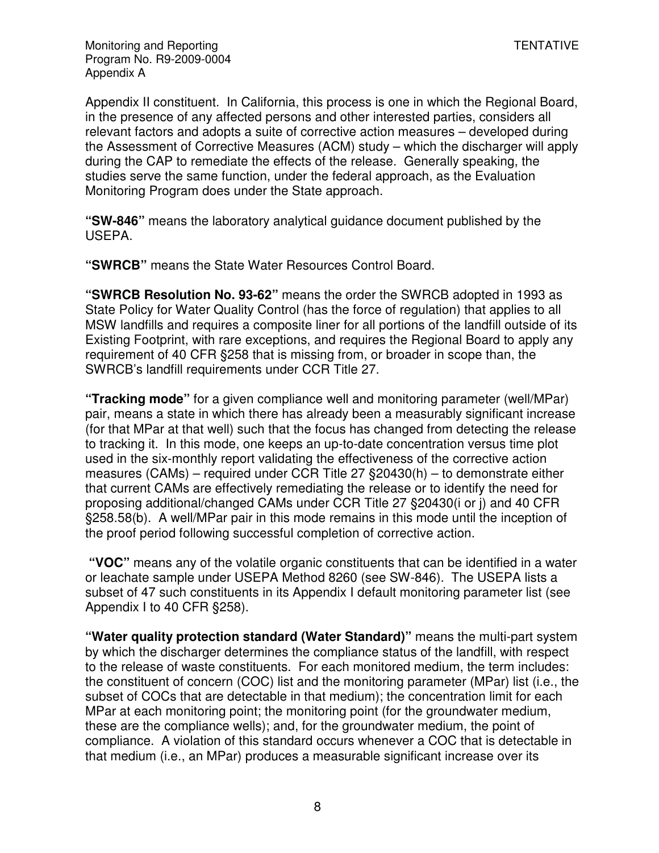Appendix II constituent. In California, this process is one in which the Regional Board, in the presence of any affected persons and other interested parties, considers all relevant factors and adopts a suite of corrective action measures – developed during the Assessment of Corrective Measures (ACM) study – which the discharger will apply during the CAP to remediate the effects of the release. Generally speaking, the studies serve the same function, under the federal approach, as the Evaluation Monitoring Program does under the State approach.

**"SW-846"** means the laboratory analytical guidance document published by the USEPA.

**"SWRCB"** means the State Water Resources Control Board.

**"SWRCB Resolution No. 93-62"** means the order the SWRCB adopted in 1993 as State Policy for Water Quality Control (has the force of regulation) that applies to all MSW landfills and requires a composite liner for all portions of the landfill outside of its Existing Footprint, with rare exceptions, and requires the Regional Board to apply any requirement of 40 CFR §258 that is missing from, or broader in scope than, the SWRCB's landfill requirements under CCR Title 27.

**"Tracking mode"** for a given compliance well and monitoring parameter (well/MPar) pair, means a state in which there has already been a measurably significant increase (for that MPar at that well) such that the focus has changed from detecting the release to tracking it. In this mode, one keeps an up-to-date concentration versus time plot used in the six-monthly report validating the effectiveness of the corrective action measures (CAMs) – required under CCR Title 27 §20430(h) – to demonstrate either that current CAMs are effectively remediating the release or to identify the need for proposing additional/changed CAMs under CCR Title 27 §20430(i or j) and 40 CFR §258.58(b). A well/MPar pair in this mode remains in this mode until the inception of the proof period following successful completion of corrective action.

 **"VOC"** means any of the volatile organic constituents that can be identified in a water or leachate sample under USEPA Method 8260 (see SW-846). The USEPA lists a subset of 47 such constituents in its Appendix I default monitoring parameter list (see Appendix I to 40 CFR §258).

**"Water quality protection standard (Water Standard)"** means the multi-part system by which the discharger determines the compliance status of the landfill, with respect to the release of waste constituents. For each monitored medium, the term includes: the constituent of concern (COC) list and the monitoring parameter (MPar) list (i.e., the subset of COCs that are detectable in that medium); the concentration limit for each MPar at each monitoring point; the monitoring point (for the groundwater medium, these are the compliance wells); and, for the groundwater medium, the point of compliance. A violation of this standard occurs whenever a COC that is detectable in that medium (i.e., an MPar) produces a measurable significant increase over its